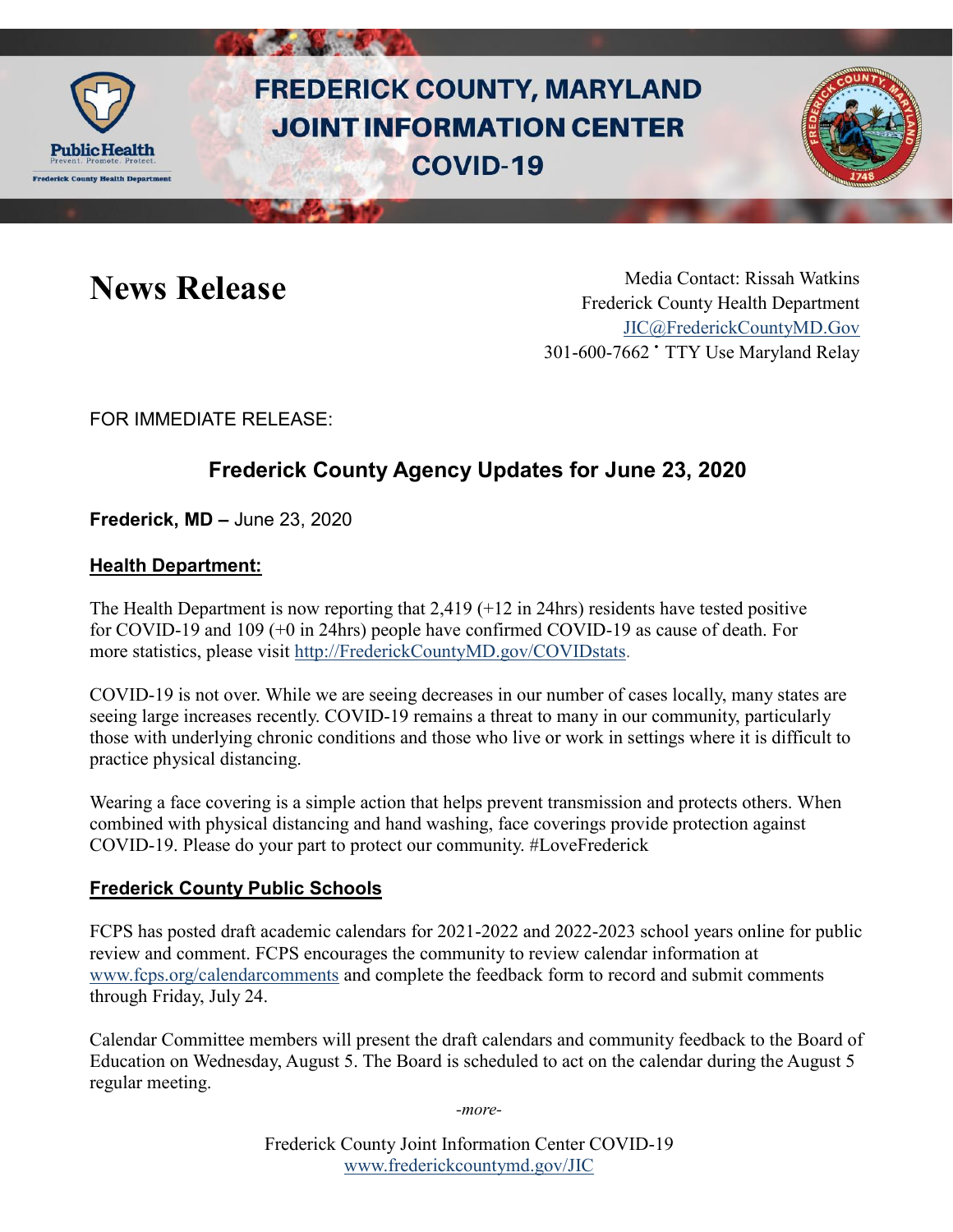

# **FREDERICK COUNTY, MARYLAND JOINT INFORMATION CENTER COVID-19**



News Release Media Contact: Rissah Watkins Frederick County Health Department [JIC@FrederickCountyMD.Gov](mailto:JIC@FrederickCountyMD.Gov) 301-600-7662 • TTY Use Maryland Relay

FOR IMMEDIATE RELEASE:

## **Frederick County Agency Updates for June 23, 2020**

**Frederick, MD –** June 23, 2020

### **Health Department:**

The Health Department is now reporting that 2,419 (+12 in 24hrs) residents have tested positive for COVID-19 and 109 (+0 in 24hrs) people have confirmed COVID-19 as cause of death. For more statistics, please visit [http://FrederickCountyMD.gov/COVIDstats.](http://frederickcountymd.gov/COVIDstats)

COVID-19 is not over. While we are seeing decreases in our number of cases locally, many states are seeing large increases recently. COVID-19 remains a threat to many in our community, particularly those with underlying chronic conditions and those who live or work in settings where it is difficult to practice physical distancing.

Wearing a face covering is a simple action that helps prevent transmission and protects others. When combined with physical distancing and hand washing, face coverings provide protection against COVID-19. Please do your part to protect our community. #LoveFrederick

#### **Frederick County Public Schools**

FCPS has posted draft academic calendars for 2021-2022 and 2022-2023 school years online for public review and comment. FCPS encourages the community to review calendar information at [www.fcps.org/calendarcomments](http://www.fcps.org/calendarcomments) and complete the feedback form to record and submit comments through Friday, July 24.

Calendar Committee members will present the draft calendars and community feedback to the Board of Education on Wednesday, August 5. The Board is scheduled to act on the calendar during the August 5 regular meeting.

*-more-*

Frederick County Joint Information Center COVID-19 [www.frederickcountymd.gov/JIC](https://frederickcountymd.gov/JIC)